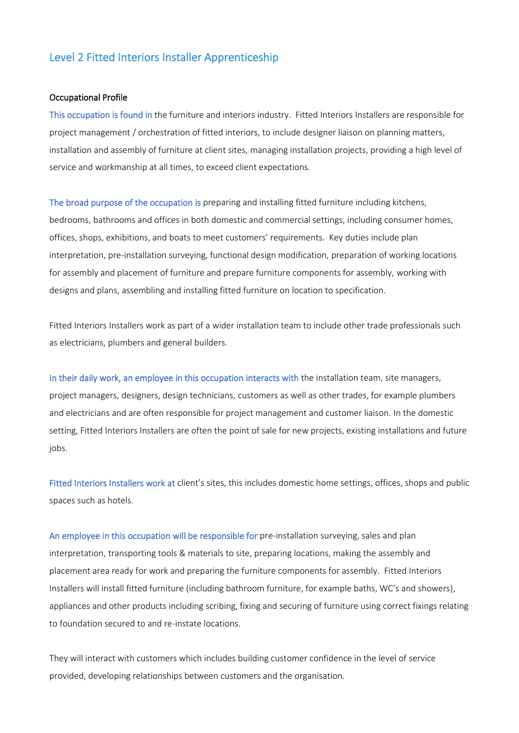## Level 2 Fitted Interiors Installer Apprenticeship

## Occupational Profile

This occupation is found in the furniture and interiors industry. Fitted Interiors Installers are responsible for project management / orchestration of fitted interiors, to include designer liaison on planning matters, installation and assembly of furniture at client sites, managing installation projects, providing a high level of service and workmanship at all times, to exceed client expectations.

The broad purpose of the occupation is preparing and installing fitted furniture including kitchens, bedrooms, bathrooms and offices in both domestic and commercial settings, including consumer homes, offices, shops, exhibitions, and boats to meet customers' requirements. Key duties include plan interpretation, pre-installation surveying, functional design modification, preparation of working locations for assembly and placement of furniture and prepare furniture components for assembly, working with designs and plans, assembling and installing fitted furniture on location to specification.

Fitted Interiors Installers work as part of a wider installation team to include other trade professionals such as electricians, plumbers and general builders.

In their daily work, an employee in this occupation interacts with the installation team, site managers, project managers, designers, design technicians, customers as well as other trades, for example plumbers and electricians and are often responsible for project management and customer liaison. In the domestic setting, Fitted Interiors Installers are often the point of sale for new projects, existing installations and future jobs.

Fitted Interiors Installers work at client's sites, this includes domestic home settings, offices, shops and public spaces such as hotels.

An employee in this occupation will be responsible for pre-installation surveying, sales and plan interpretation, transporting tools & materials to site, preparing locations, making the assembly and placement area ready for work and preparing the furniture components for assembly. Fitted Interiors Installers will install fitted furniture (including bathroom furniture, for example baths, WC's and showers), appliances and other products including scribing, fixing and securing of furniture using correct fixings relating to foundation secured to and re-instate locations.

They will interact with customers which includes building customer confidence in the level of service provided, developing relationships between customers and the organisation.